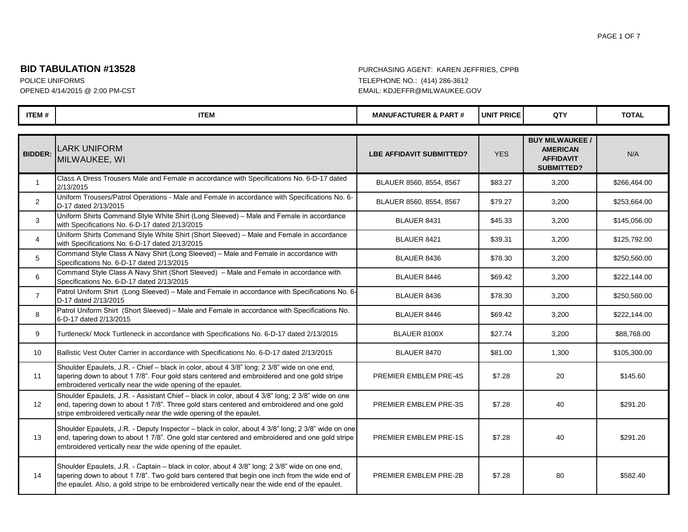#### PAGE 1 OF 7

### **BID TABULATION #13528** PURCHASING AGENT: KAREN JEFFRIES, CPPB

| <b>ITEM#</b>    | <b>ITEM</b>                                                                                                                                                                                                                                                                                         | <b>MANUFACTURER &amp; PART#</b> | <b>UNIT PRICE</b> | QTY                                                                                | <b>TOTAL</b> |
|-----------------|-----------------------------------------------------------------------------------------------------------------------------------------------------------------------------------------------------------------------------------------------------------------------------------------------------|---------------------------------|-------------------|------------------------------------------------------------------------------------|--------------|
|                 |                                                                                                                                                                                                                                                                                                     |                                 |                   |                                                                                    |              |
| <b>BIDDER:</b>  | <b>LARK UNIFORM</b><br>MILWAUKEE, WI                                                                                                                                                                                                                                                                | <b>LBE AFFIDAVIT SUBMITTED?</b> | <b>YES</b>        | <b>BUY MILWAUKEE /</b><br><b>AMERICAN</b><br><b>AFFIDAVIT</b><br><b>SUBMITTED?</b> | N/A          |
| $\mathbf{1}$    | Class A Dress Trousers Male and Female in accordance with Specifications No. 6-D-17 dated<br>2/13/2015                                                                                                                                                                                              | BLAUER 8560, 8554, 8567         | \$83.27           | 3,200                                                                              | \$266,464.00 |
| 2               | Uniform Trousers/Patrol Operations - Male and Female in accordance with Specifications No. 6-<br>D-17 dated 2/13/2015                                                                                                                                                                               | BLAUER 8560, 8554, 8567         | \$79.27           | 3,200                                                                              | \$253,664.00 |
| 3               | Uniform Shirts Command Style White Shirt (Long Sleeved) - Male and Female in accordance<br>with Specifications No. 6-D-17 dated 2/13/2015                                                                                                                                                           | BLAUER 8431                     | \$45.33           | 3,200                                                                              | \$145,056.00 |
| $\overline{4}$  | Uniform Shirts Command Style White Shirt (Short Sleeved) - Male and Female in accordance<br>with Specifications No. 6-D-17 dated 2/13/2015                                                                                                                                                          | BLAUER 8421                     | \$39.31           | 3,200                                                                              | \$125,792.00 |
| 5               | Command Style Class A Navy Shirt (Long Sleeved) - Male and Female in accordance with<br>Specifications No. 6-D-17 dated 2/13/2015                                                                                                                                                                   | BLAUER 8436                     | \$78.30           | 3,200                                                                              | \$250,560.00 |
| 6               | Command Style Class A Navy Shirt (Short Sleeved) - Male and Female in accordance with<br>Specifications No. 6-D-17 dated 2/13/2015                                                                                                                                                                  | BLAUER 8446                     | \$69.42           | 3,200                                                                              | \$222,144.00 |
| $\overline{7}$  | Patrol Uniform Shirt (Long Sleeved) - Male and Female in accordance with Specifications No. 6-<br>D-17 dated 2/13/2015                                                                                                                                                                              | BLAUER 8436                     | \$78.30           | 3,200                                                                              | \$250,560.00 |
| 8               | Patrol Uniform Shirt (Short Sleeved) - Male and Female in accordance with Specifications No.<br>6-D-17 dated 2/13/2015                                                                                                                                                                              | BLAUER 8446                     | \$69.42           | 3,200                                                                              | \$222,144.00 |
| 9               | Turtleneck/ Mock Turtleneck in accordance with Specifications No. 6-D-17 dated 2/13/2015                                                                                                                                                                                                            | BLAUER 8100X                    | \$27.74           | 3,200                                                                              | \$88,768.00  |
| 10 <sup>°</sup> | Ballistic Vest Outer Carrier in accordance with Specifications No. 6-D-17 dated 2/13/2015                                                                                                                                                                                                           | BLAUER 8470                     | \$81.00           | 1,300                                                                              | \$105,300.00 |
| 11              | Shoulder Epaulets, J.R. - Chief - black in color, about 4 3/8" long; 2 3/8" wide on one end,<br>tapering down to about 1 7/8". Four gold stars centered and embroidered and one gold stripe<br>embroidered vertically near the wide opening of the epaulet.                                         | PREMIER EMBLEM PRE-4S           | \$7.28            | 20                                                                                 | \$145.60     |
| 12              | Shoulder Epaulets, J.R. - Assistant Chief - black in color, about 4 3/8" long; 2 3/8" wide on one<br>end, tapering down to about 1 7/8". Three gold stars centered and embroidered and one gold<br>stripe embroidered vertically near the wide opening of the epaulet.                              | PREMIER EMBLEM PRE-3S           | \$7.28            | 40                                                                                 | \$291.20     |
| 13              | Shoulder Epaulets, J.R. - Deputy Inspector - black in color, about 4 3/8" long; 2 3/8" wide on one<br>end, tapering down to about 1 7/8". One gold star centered and embroidered and one gold stripe<br>embroidered vertically near the wide opening of the epaulet.                                | PREMIER EMBLEM PRE-1S           | \$7.28            | 40                                                                                 | \$291.20     |
| 14              | Shoulder Epaulets, J.R. - Captain - black in color, about 4 3/8" long; 2 3/8" wide on one end,<br>tapering down to about 1 7/8". Two gold bars centered that begin one inch from the wide end of<br>the epaulet. Also, a gold stripe to be embroidered vertically near the wide end of the epaulet. | PREMIER EMBLEM PRE-2B           | \$7.28            | 80                                                                                 | \$582.40     |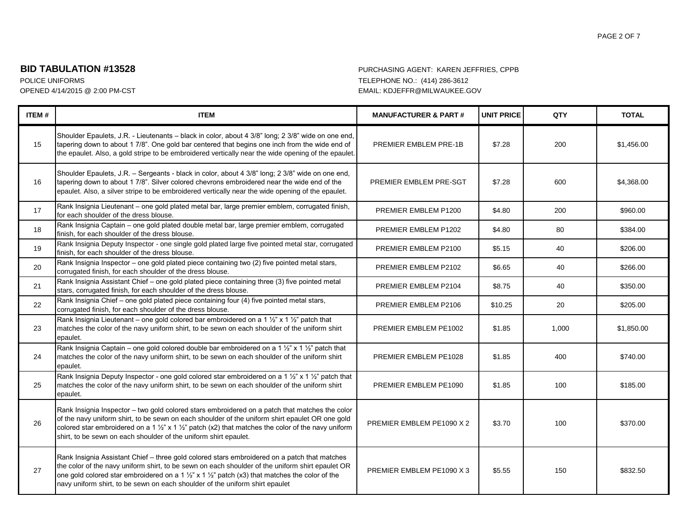#### PAGE 2 OF 7

## **BID TABULATION #13528** PURCHASING AGENT: KAREN JEFFRIES, CPPB

| ITEM# | <b>ITEM</b>                                                                                                                                                                                                                                                                                                                                                                                               | <b>MANUFACTURER &amp; PART#</b> | <b>UNIT PRICE</b> | QTY   | <b>TOTAL</b> |
|-------|-----------------------------------------------------------------------------------------------------------------------------------------------------------------------------------------------------------------------------------------------------------------------------------------------------------------------------------------------------------------------------------------------------------|---------------------------------|-------------------|-------|--------------|
| 15    | Shoulder Epaulets, J.R. - Lieutenants - black in color, about 4 3/8" long; 2 3/8" wide on one end,<br>tapering down to about 1 7/8". One gold bar centered that begins one inch from the wide end of<br>the epaulet. Also, a gold stripe to be embroidered vertically near the wide opening of the epaulet.                                                                                               | PREMIER EMBLEM PRE-1B           | \$7.28            | 200   | \$1,456.00   |
| 16    | Shoulder Epaulets, J.R. - Sergeants - black in color, about 4 3/8" long; 2 3/8" wide on one end,<br>tapering down to about 1 7/8". Silver colored chevrons embroidered near the wide end of the<br>epaulet. Also, a silver stripe to be embroidered vertically near the wide opening of the epaulet.                                                                                                      | PREMIER EMBLEM PRE-SGT          | \$7.28            | 600   | \$4,368.00   |
| 17    | Rank Insignia Lieutenant - one gold plated metal bar, large premier emblem, corrugated finish,<br>for each shoulder of the dress blouse.                                                                                                                                                                                                                                                                  | PREMIER EMBLEM P1200            | \$4.80            | 200   | \$960.00     |
| 18    | Rank Insignia Captain - one gold plated double metal bar, large premier emblem, corrugated<br>finish, for each shoulder of the dress blouse.                                                                                                                                                                                                                                                              | PREMIER EMBLEM P1202            | \$4.80            | 80    | \$384.00     |
| 19    | Rank Insignia Deputy Inspector - one single gold plated large five pointed metal star, corrugated<br>finish, for each shoulder of the dress blouse.                                                                                                                                                                                                                                                       | PREMIER EMBLEM P2100            | \$5.15            | 40    | \$206.00     |
| 20    | Rank Insignia Inspector - one gold plated piece containing two (2) five pointed metal stars,<br>corrugated finish, for each shoulder of the dress blouse.                                                                                                                                                                                                                                                 | PREMIER EMBLEM P2102            | \$6.65            | 40    | \$266.00     |
| 21    | Rank Insignia Assistant Chief - one gold plated piece containing three (3) five pointed metal<br>stars, corrugated finish, for each shoulder of the dress blouse.                                                                                                                                                                                                                                         | PREMIER EMBLEM P2104            | \$8.75            | 40    | \$350.00     |
| 22    | Rank Insignia Chief - one gold plated piece containing four (4) five pointed metal stars,<br>corrugated finish, for each shoulder of the dress blouse.                                                                                                                                                                                                                                                    | PREMIER EMBLEM P2106            | \$10.25           | 20    | \$205.00     |
| 23    | Rank Insignia Lieutenant - one gold colored bar embroidered on a 1 1/2" x 1 1/2" patch that<br>matches the color of the navy uniform shirt, to be sewn on each shoulder of the uniform shirt<br>epaulet.                                                                                                                                                                                                  | PREMIER EMBLEM PE1002           | \$1.85            | 1,000 | \$1,850.00   |
| 24    | Rank Insignia Captain – one gold colored double bar embroidered on a 1 $\frac{1}{2}$ " x 1 $\frac{1}{2}$ " patch that<br>matches the color of the navy uniform shirt, to be sewn on each shoulder of the uniform shirt<br>epaulet.                                                                                                                                                                        | PREMIER EMBLEM PE1028           | \$1.85            | 400   | \$740.00     |
| 25    | Rank Insignia Deputy Inspector - one gold colored star embroidered on a 1 1/2" x 1 1/2" patch that<br>matches the color of the navy uniform shirt, to be sewn on each shoulder of the uniform shirt<br>epaulet.                                                                                                                                                                                           | PREMIER EMBLEM PE1090           | \$1.85            | 100   | \$185.00     |
| 26    | Rank Insignia Inspector - two gold colored stars embroidered on a patch that matches the color<br>of the navy uniform shirt, to be sewn on each shoulder of the uniform shirt epaulet OR one gold<br>colored star embroidered on a 1 $\frac{1}{2}$ " x 1 $\frac{1}{2}$ " patch (x2) that matches the color of the navy uniform<br>shirt, to be sewn on each shoulder of the uniform shirt epaulet.        | PREMIER EMBLEM PE1090 X 2       | \$3.70            | 100   | \$370.00     |
| 27    | Rank Insignia Assistant Chief - three gold colored stars embroidered on a patch that matches<br>the color of the navy uniform shirt, to be sewn on each shoulder of the uniform shirt epaulet OR<br>one gold colored star embroidered on a 1 $\frac{1}{2}$ " x 1 $\frac{1}{2}$ " patch (x3) that matches the color of the<br>navy uniform shirt, to be sewn on each shoulder of the uniform shirt epaulet | PREMIER EMBLEM PE1090 X 3       | \$5.55            | 150   | \$832.50     |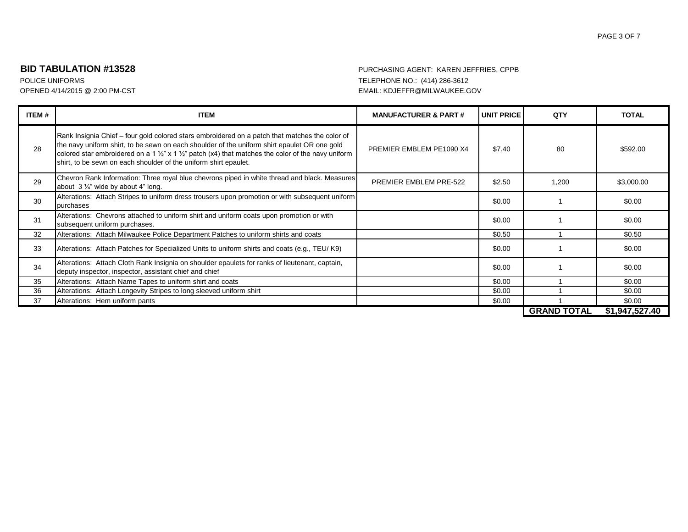#### PAGE 3 OF 7

## **BID TABULATION #13528** PURCHASING AGENT: KAREN JEFFRIES, CPPB

| ITEM# | <b>ITEM</b>                                                                                                                                                                                                                                                                                                                                                                                     | <b>MANUFACTURER &amp; PART#</b> | <b>UNIT PRICE</b> | QTY                | <b>TOTAL</b>   |
|-------|-------------------------------------------------------------------------------------------------------------------------------------------------------------------------------------------------------------------------------------------------------------------------------------------------------------------------------------------------------------------------------------------------|---------------------------------|-------------------|--------------------|----------------|
| 28    | Rank Insignia Chief – four gold colored stars embroidered on a patch that matches the color of<br>the navy uniform shirt, to be sewn on each shoulder of the uniform shirt epaulet OR one gold<br>colored star embroidered on a 1 $\frac{1}{2}$ " x 1 $\frac{1}{2}$ " patch (x4) that matches the color of the navy uniform<br>shirt, to be sewn on each shoulder of the uniform shirt epaulet. | PREMIER EMBLEM PE1090 X4        | \$7.40            | 80                 | \$592.00       |
| 29    | Chevron Rank Information: Three royal blue chevrons piped in white thread and black. Measures<br>about $3\frac{1}{4}$ " wide by about 4" long.                                                                                                                                                                                                                                                  | PREMIER EMBLEM PRE-522          | \$2.50            | 1,200              | \$3,000.00     |
| 30    | Alterations: Attach Stripes to uniform dress trousers upon promotion or with subsequent uniform<br>purchases                                                                                                                                                                                                                                                                                    |                                 | \$0.00            |                    | \$0.00         |
| 31    | Alterations: Chevrons attached to uniform shirt and uniform coats upon promotion or with<br>subsequent uniform purchases.                                                                                                                                                                                                                                                                       |                                 | \$0.00            |                    | \$0.00         |
| 32    | Alterations: Attach Milwaukee Police Department Patches to uniform shirts and coats                                                                                                                                                                                                                                                                                                             |                                 | \$0.50            |                    | \$0.50         |
| 33    | Alterations: Attach Patches for Specialized Units to uniform shirts and coats (e.g., TEU/K9)                                                                                                                                                                                                                                                                                                    |                                 | \$0.00            |                    | \$0.00         |
| 34    | Alterations: Attach Cloth Rank Insignia on shoulder epaulets for ranks of lieutenant, captain,<br>deputy inspector, inspector, assistant chief and chief                                                                                                                                                                                                                                        |                                 | \$0.00            |                    | \$0.00         |
| 35    | Alterations: Attach Name Tapes to uniform shirt and coats                                                                                                                                                                                                                                                                                                                                       |                                 | \$0.00            |                    | \$0.00         |
| 36    | Alterations: Attach Longevity Stripes to long sleeved uniform shirt                                                                                                                                                                                                                                                                                                                             |                                 | \$0.00            |                    | \$0.00         |
| 37    | Alterations: Hem uniform pants                                                                                                                                                                                                                                                                                                                                                                  |                                 | \$0.00            |                    | \$0.00         |
|       |                                                                                                                                                                                                                                                                                                                                                                                                 |                                 |                   | <b>GRAND TOTAL</b> | \$1,947,527.40 |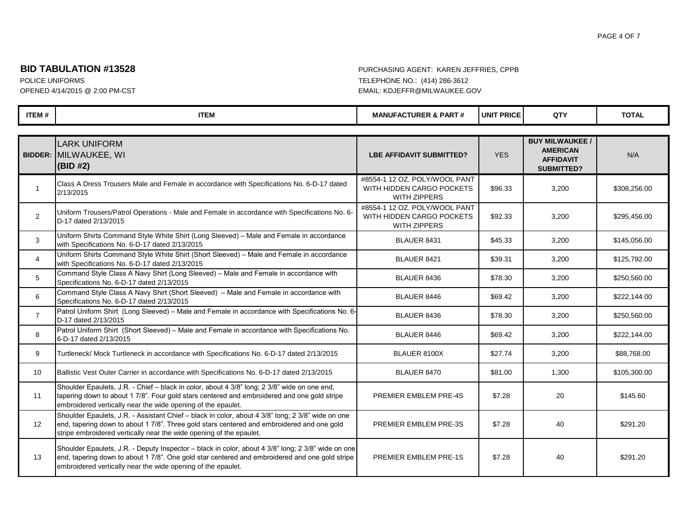## **BID TABULATION #13528** PURCHASING AGENT: KAREN JEFFRIES, CPPB

| <b>ITEM#</b>   | <b>ITEM</b>                                                                                                                                                                                                                                                            | <b>MANUFACTURER &amp; PART#</b>                                                   | <b>UNIT PRICE</b> | QTY                                                                                | <b>TOTAL</b> |  |
|----------------|------------------------------------------------------------------------------------------------------------------------------------------------------------------------------------------------------------------------------------------------------------------------|-----------------------------------------------------------------------------------|-------------------|------------------------------------------------------------------------------------|--------------|--|
|                |                                                                                                                                                                                                                                                                        |                                                                                   |                   |                                                                                    |              |  |
| <b>BIDDER:</b> | <b>LARK UNIFORM</b><br>MILWAUKEE, WI<br>(BID #2)                                                                                                                                                                                                                       | <b>LBE AFFIDAVIT SUBMITTED?</b>                                                   | <b>YES</b>        | <b>BUY MILWAUKEE /</b><br><b>AMERICAN</b><br><b>AFFIDAVIT</b><br><b>SUBMITTED?</b> | N/A          |  |
| $\mathbf{1}$   | Class A Dress Trousers Male and Female in accordance with Specifications No. 6-D-17 dated<br>2/13/2015                                                                                                                                                                 | #8554-1 12 OZ. POLY/WOOL PANT<br>WITH HIDDEN CARGO POCKETS<br><b>WITH ZIPPERS</b> | \$96.33           | 3,200                                                                              | \$308,256.00 |  |
| 2              | Uniform Trousers/Patrol Operations - Male and Female in accordance with Specifications No. 6-<br>D-17 dated 2/13/2015                                                                                                                                                  | #8554-1 12 OZ. POLY/WOOL PANT<br>WITH HIDDEN CARGO POCKETS<br><b>WITH ZIPPERS</b> | \$92.33           | 3,200                                                                              | \$295,456.00 |  |
| 3              | Uniform Shirts Command Style White Shirt (Long Sleeved) - Male and Female in accordance<br>with Specifications No. 6-D-17 dated 2/13/2015                                                                                                                              | BLAUER 8431                                                                       | \$45.33           | 3,200                                                                              | \$145,056.00 |  |
| $\overline{4}$ | Uniform Shirts Command Style White Shirt (Short Sleeved) - Male and Female in accordance<br>with Specifications No. 6-D-17 dated 2/13/2015                                                                                                                             | BLAUER 8421                                                                       | \$39.31           | 3,200                                                                              | \$125,792.00 |  |
| 5              | Command Style Class A Navy Shirt (Long Sleeved) - Male and Female in accordance with<br>Specifications No. 6-D-17 dated 2/13/2015                                                                                                                                      | BLAUER 8436                                                                       | \$78.30           | 3,200                                                                              | \$250,560.00 |  |
| 6              | Command Style Class A Navy Shirt (Short Sleeved) - Male and Female in accordance with<br>Specifications No. 6-D-17 dated 2/13/2015                                                                                                                                     | BLAUER 8446                                                                       | \$69.42           | 3,200                                                                              | \$222,144.00 |  |
| $\overline{7}$ | Patrol Uniform Shirt (Long Sleeved) - Male and Female in accordance with Specifications No. 6-<br>D-17 dated 2/13/2015                                                                                                                                                 | BLAUER 8436                                                                       | \$78.30           | 3,200                                                                              | \$250,560.00 |  |
| 8              | Patrol Uniform Shirt (Short Sleeved) - Male and Female in accordance with Specifications No.<br>6-D-17 dated 2/13/2015                                                                                                                                                 | BLAUER 8446                                                                       | \$69.42           | 3,200                                                                              | \$222,144.00 |  |
| 9              | Turtleneck/ Mock Turtleneck in accordance with Specifications No. 6-D-17 dated 2/13/2015                                                                                                                                                                               | BLAUER 8100X                                                                      | \$27.74           | 3,200                                                                              | \$88,768.00  |  |
| 10             | Ballistic Vest Outer Carrier in accordance with Specifications No. 6-D-17 dated 2/13/2015                                                                                                                                                                              | BLAUER 8470                                                                       | \$81.00           | 1,300                                                                              | \$105,300.00 |  |
| 11             | Shoulder Epaulets, J.R. - Chief - black in color, about 4 3/8" long; 2 3/8" wide on one end,<br>tapering down to about 1 7/8". Four gold stars centered and embroidered and one gold stripe<br>embroidered vertically near the wide opening of the epaulet.            | PREMIER EMBLEM PRE-4S                                                             | \$7.28            | 20                                                                                 | \$145.60     |  |
| 12             | Shoulder Epaulets, J.R. - Assistant Chief - black in color, about 4 3/8" long; 2 3/8" wide on one<br>end, tapering down to about 1 7/8". Three gold stars centered and embroidered and one gold<br>stripe embroidered vertically near the wide opening of the epaulet. | PREMIER EMBLEM PRE-3S                                                             | \$7.28            | 40                                                                                 | \$291.20     |  |
| 13             | Shoulder Epaulets, J.R. - Deputy Inspector - black in color, about 4 3/8" long; 2 3/8" wide on one<br>end, tapering down to about 1 7/8". One gold star centered and embroidered and one gold stripe<br>embroidered vertically near the wide opening of the epaulet.   | PREMIER EMBLEM PRE-1S                                                             | \$7.28            | 40                                                                                 | \$291.20     |  |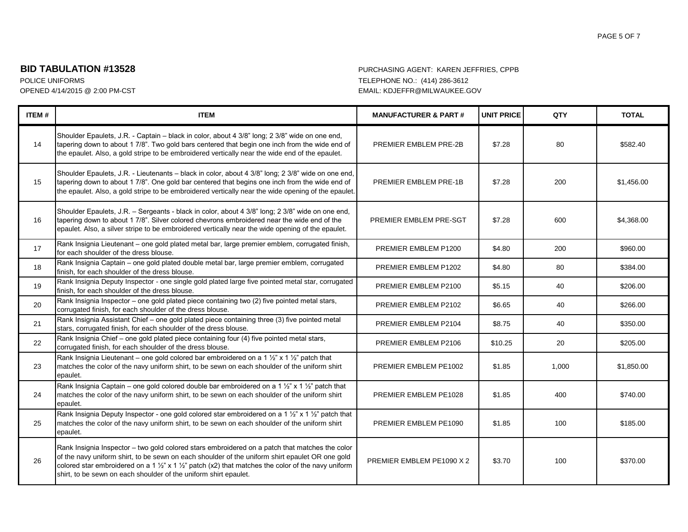#### PAGE 5 OF 7

## **BID TABULATION #13528** PURCHASING AGENT: KAREN JEFFRIES, CPPB

| ITEM# | <b>ITEM</b>                                                                                                                                                                                                                                                                                                                                                                                        | <b>MANUFACTURER &amp; PART#</b> | <b>UNIT PRICE</b> | QTY   | <b>TOTAL</b> |
|-------|----------------------------------------------------------------------------------------------------------------------------------------------------------------------------------------------------------------------------------------------------------------------------------------------------------------------------------------------------------------------------------------------------|---------------------------------|-------------------|-------|--------------|
| 14    | Shoulder Epaulets, J.R. - Captain - black in color, about 4 3/8" long; 2 3/8" wide on one end,<br>tapering down to about 1 7/8". Two gold bars centered that begin one inch from the wide end of<br>the epaulet. Also, a gold stripe to be embroidered vertically near the wide end of the epaulet.                                                                                                | PREMIER EMBLEM PRE-2B           | \$7.28            | 80    | \$582.40     |
| 15    | Shoulder Epaulets, J.R. - Lieutenants - black in color, about 4 3/8" long; 2 3/8" wide on one end,<br>tapering down to about 1 7/8". One gold bar centered that begins one inch from the wide end of<br>the epaulet. Also, a gold stripe to be embroidered vertically near the wide opening of the epaulet.                                                                                        | PREMIER EMBLEM PRE-1B           | \$7.28            | 200   | \$1,456.00   |
| 16    | Shoulder Epaulets, J.R. - Sergeants - black in color, about 4 3/8" long; 2 3/8" wide on one end,<br>tapering down to about 1 7/8". Silver colored chevrons embroidered near the wide end of the<br>epaulet. Also, a silver stripe to be embroidered vertically near the wide opening of the epaulet.                                                                                               | PREMIER EMBLEM PRE-SGT          | \$7.28            | 600   | \$4,368.00   |
| 17    | Rank Insignia Lieutenant - one gold plated metal bar, large premier emblem, corrugated finish,<br>for each shoulder of the dress blouse.                                                                                                                                                                                                                                                           | PREMIER EMBLEM P1200            | \$4.80            | 200   | \$960.00     |
| 18    | Rank Insignia Captain - one gold plated double metal bar, large premier emblem, corrugated<br>finish, for each shoulder of the dress blouse.                                                                                                                                                                                                                                                       | PREMIER EMBLEM P1202            | \$4.80            | 80    | \$384.00     |
| 19    | Rank Insignia Deputy Inspector - one single gold plated large five pointed metal star, corrugated<br>finish, for each shoulder of the dress blouse.                                                                                                                                                                                                                                                | PREMIER EMBLEM P2100            | \$5.15            | 40    | \$206.00     |
| 20    | Rank Insignia Inspector - one gold plated piece containing two (2) five pointed metal stars,<br>corrugated finish, for each shoulder of the dress blouse.                                                                                                                                                                                                                                          | PREMIER EMBLEM P2102            | \$6.65            | 40    | \$266.00     |
| 21    | Rank Insignia Assistant Chief - one gold plated piece containing three (3) five pointed metal<br>stars, corrugated finish, for each shoulder of the dress blouse.                                                                                                                                                                                                                                  | PREMIER EMBLEM P2104            | \$8.75            | 40    | \$350.00     |
| 22    | Rank Insignia Chief - one gold plated piece containing four (4) five pointed metal stars,<br>corrugated finish, for each shoulder of the dress blouse.                                                                                                                                                                                                                                             | PREMIER EMBLEM P2106            | \$10.25           | 20    | \$205.00     |
| 23    | Rank Insignia Lieutenant – one gold colored bar embroidered on a 1 $\frac{1}{2}$ " x 1 $\frac{1}{2}$ " patch that<br>matches the color of the navy uniform shirt, to be sewn on each shoulder of the uniform shirt<br>epaulet.                                                                                                                                                                     | PREMIER EMBLEM PE1002           | \$1.85            | 1,000 | \$1,850.00   |
| 24    | Rank Insignia Captain – one gold colored double bar embroidered on a 1 1/2" x 1 1/2" patch that<br>matches the color of the navy uniform shirt, to be sewn on each shoulder of the uniform shirt<br>epaulet.                                                                                                                                                                                       | PREMIER EMBLEM PE1028           | \$1.85            | 400   | \$740.00     |
| 25    | Rank Insignia Deputy Inspector - one gold colored star embroidered on a 1 1/2" x 1 1/2" patch that<br>matches the color of the navy uniform shirt, to be sewn on each shoulder of the uniform shirt<br>epaulet.                                                                                                                                                                                    | PREMIER EMBLEM PE1090           | \$1.85            | 100   | \$185.00     |
| 26    | Rank Insignia Inspector - two gold colored stars embroidered on a patch that matches the color<br>of the navy uniform shirt, to be sewn on each shoulder of the uniform shirt epaulet OR one gold<br>colored star embroidered on a 1 $\frac{1}{2}$ " x 1 $\frac{1}{2}$ " patch (x2) that matches the color of the navy uniform<br>shirt, to be sewn on each shoulder of the uniform shirt epaulet. | PREMIER EMBLEM PE1090 X 2       | \$3.70            | 100   | \$370.00     |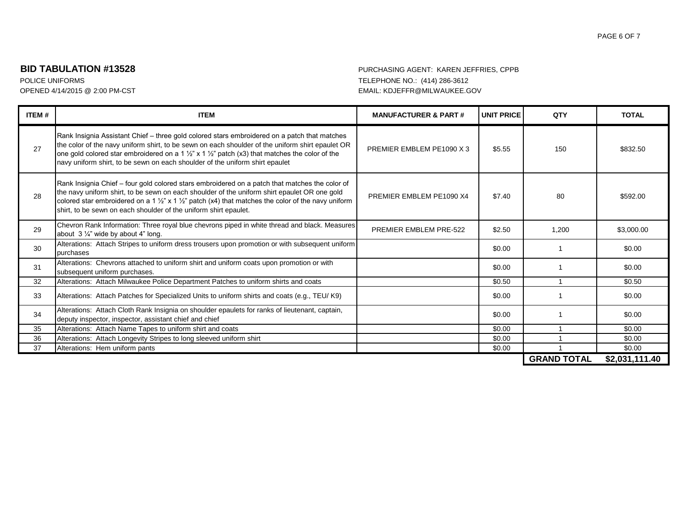#### PAGE 6 OF 7

## **BID TABULATION #13528** PURCHASING AGENT: KAREN JEFFRIES, CPPB

| <b>ITEM#</b> | <b>ITEM</b>                                                                                                                                                                                                                                                                                                                                                                                               | <b>MANUFACTURER &amp; PART#</b> | <b>UNIT PRICE</b> | QTY                | <b>TOTAL</b>   |
|--------------|-----------------------------------------------------------------------------------------------------------------------------------------------------------------------------------------------------------------------------------------------------------------------------------------------------------------------------------------------------------------------------------------------------------|---------------------------------|-------------------|--------------------|----------------|
| 27           | Rank Insignia Assistant Chief – three gold colored stars embroidered on a patch that matches<br>the color of the navy uniform shirt, to be sewn on each shoulder of the uniform shirt epaulet OR<br>one gold colored star embroidered on a 1 $\frac{1}{2}$ " x 1 $\frac{1}{2}$ " patch (x3) that matches the color of the<br>navy uniform shirt, to be sewn on each shoulder of the uniform shirt epaulet | PREMIER EMBLEM PE1090 X 3       | \$5.55            | 150                | \$832.50       |
| 28           | Rank Insignia Chief - four gold colored stars embroidered on a patch that matches the color of<br>the navy uniform shirt, to be sewn on each shoulder of the uniform shirt epaulet OR one gold<br>colored star embroidered on a 1 $\frac{1}{2}$ " x 1 $\frac{1}{2}$ " patch (x4) that matches the color of the navy uniform<br>shirt, to be sewn on each shoulder of the uniform shirt epaulet.           | PREMIER EMBLEM PE1090 X4        | \$7.40            | 80                 | \$592.00       |
| 29           | Chevron Rank Information: Three royal blue chevrons piped in white thread and black. Measures<br>about $3\frac{1}{4}$ " wide by about 4" long.                                                                                                                                                                                                                                                            | PREMIER EMBLEM PRE-522          | \$2.50            | 1.200              | \$3,000.00     |
| 30           | Alterations: Attach Stripes to uniform dress trousers upon promotion or with subsequent uniform<br>purchases                                                                                                                                                                                                                                                                                              |                                 | \$0.00            |                    | \$0.00         |
| 31           | Alterations: Chevrons attached to uniform shirt and uniform coats upon promotion or with<br>subsequent uniform purchases.                                                                                                                                                                                                                                                                                 |                                 | \$0.00            |                    | \$0.00         |
| 32           | Alterations: Attach Milwaukee Police Department Patches to uniform shirts and coats                                                                                                                                                                                                                                                                                                                       |                                 | \$0.50            |                    | \$0.50         |
| 33           | Alterations: Attach Patches for Specialized Units to uniform shirts and coats (e.g., TEU/K9)                                                                                                                                                                                                                                                                                                              |                                 | \$0.00            |                    | \$0.00         |
| 34           | Alterations: Attach Cloth Rank Insignia on shoulder epaulets for ranks of lieutenant, captain,<br>deputy inspector, inspector, assistant chief and chief                                                                                                                                                                                                                                                  |                                 | \$0.00            |                    | \$0.00         |
| 35           | Alterations: Attach Name Tapes to uniform shirt and coats                                                                                                                                                                                                                                                                                                                                                 |                                 | \$0.00            |                    | \$0.00         |
| 36           | Alterations: Attach Longevity Stripes to long sleeved uniform shirt                                                                                                                                                                                                                                                                                                                                       |                                 | \$0.00            |                    | \$0.00         |
| 37           | Alterations: Hem uniform pants                                                                                                                                                                                                                                                                                                                                                                            |                                 | \$0.00            |                    | \$0.00         |
|              |                                                                                                                                                                                                                                                                                                                                                                                                           |                                 |                   | <b>GRAND TOTAL</b> | \$2,031,111.40 |